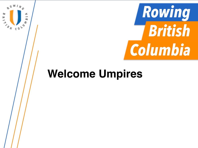

## **Welcome Umpires**

E

**AN CONS** 

B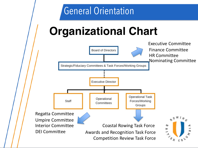### General Orientation

# **Organizational Chart**

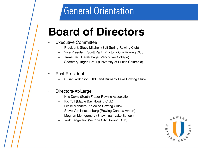### General Orientation

## **Board of Directors**

#### **Executive Committee**

- President: Stacy Mitchell (Salt Spring Rowing Club)
- Vice President: Scott Parfitt (Victoria City Rowing Club)
- Treasurer: Derek Page (Vancouver College)
- Secretary: Ingrid Braul (University of British Columbia)

#### Past President

– Susan Wilkinson (UBC and Burnaby Lake Rowing Club)

#### • Directors-At-Large

- Kris Davis (South Fraser Rowing Association)
- Ric Tull (Maple Bay Rowing Club)
- Leslie Manders (Kelowna Rowing Club)
- Steve Van Knotsenburg (Rowing Canada Aviron)
- Meghan Montgomery (Shawnigan Lake School)
- York Langerfeld (Victoria City Rowing Club)

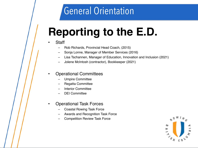## General Orientation

# **Reporting to the E.D.**

#### **Staff**

- Rob Richards, Provincial Head Coach, (2015)
- Sonja Lonne, Manager of Member Services (2016)
- Lisa Tschannen, Manager of Education, Innovation and Inclusion (2021)
- Jolene McIntosh (contractor), Bookkeeper (2021)

#### • Operational Committees

- Umpire Committee
- Regatta Committee
- Interior Committee
- DEI Committee

#### • Operational Task Forces

- Coastal Rowing Task Force
- Awards and Recognition Task Force
- Competition Review Task Force

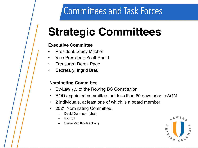# **Strategic Committees**

#### **Executive Committee**

- President: Stacy Mitchell
- Vice President: Scott Parfitt
- Treasurer: Derek Page
- Secretary: Ingrid Braul

#### **Nominating Committee**

- By-Law 7.5 of the Rowing BC Constitution
- BOD appointed committee, not less than 60 days prior to AGM
- 2 individuals, at least one of which is a board member
- 2021 Nominating Committee:
	- David Dunnison (chair)
	- Ric Tull
	- Steve Van Knotsenburg

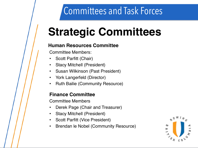# **Strategic Committees**

### **Human Resources Committee**

Committee Members:

- Scott Parfitt (Chair)
- Stacy Mitchell (President)
- Susan Wilkinson (Past President)
- York Langerfeld (Director)
- Ruth Bailie (Community Resource)

### **Finance Committee**

Committee Members

- Derek Page (Chair and Treasurer)
- Stacy Mitchell (President)
- Scott Parfitt (Vice President)
- Brendan le Nobel (Community Resource)

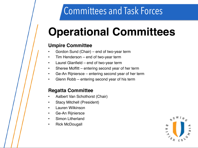# **Operational Committees**

### **Umpire Committee**

- Gordon Sund (Chair) end of two-year term
- Tim Henderson end of two-year term
- Laurel Glanfield end of two-year term
- Sheree Moffitt entering second year of her term
- Ge-An Rijniersce entering second year of her term
- Glenn Robb entering second year of his term

### **Regatta Committee**

- Aalbert Van Schothorst (Chair)
- Stacy Mitchell (President)
- Lauren Wilkinson
- Ge-An Rijniersce
- Simon Litherland
- Rick McDougall

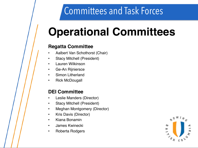## **Operational Committees**

### **Regatta Committee**

- Aalbert Van Schothorst (Chair)
- Stacy Mitchell (President)
- Lauren Wilkinson
- Ge-An Rijniersce
- Simon Litherland
- Rick McDougall

### **DEI Committee**

- Leslie Manders (Director)
- Stacy Mitchell (President)
- Meghan Montgomery (Director)
- Kris Davis (Director)
- Kiana Bonamin
- James Kwinecki
- Roberta Rodgers

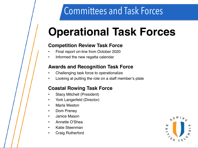## **Operational Task Forces**

#### **Competition Review Task Force**

- Final report on-line from October 2020
- Informed the new regatta calendar

#### **Awards and Recognition Task Force**

- Challenging task force to operationalize
- Looking at putting the role on a staff member's plate

### **Coastal Rowing Task Force**

- Stacy Mitchell (President)
- York Langerfeld (Director)
- **Marla Weston**
- Dom Preney
- Janice Mason
- Annette O'Shea
- Katie Steenman
- Craig Rutherford

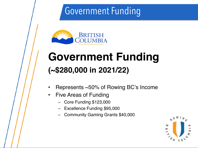## Government Funding



## **Government Funding (~\$280,000 in 2021/22)**

- Represents ~50% of Rowing BC's Income
- Five Areas of Funding
	- Core Funding \$123,000
	- Excellence Funding \$95,000
	- Community Gaming Grants \$40,000

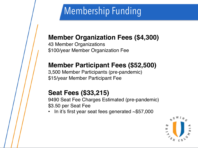## Membership Funding

### **Member Organization Fees (\$4,300)**

43 Member Organizations \$100/year Member Organization Fee

### **Member Participant Fees (\$52,500)**

3,500 Member Participants (pre-pandemic) \$15/year Member Participant Fee

### **Seat Fees (\$33,215)**

9490 Seat Fee Charges Estimated (pre-pandemic) \$3.50 per Seat Fee

In it's first year seat fees generated  $\sim$ \$57,000

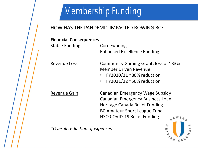## Membership Funding

### HOW HAS THE PANDEMIC IMPACTED ROWING BC?

#### **Financial Consequences**

**Stable Funding Core Funding** Enhanced Excellence Funding

Revenue Loss Community Gaming Grant: loss of ~33% Member Driven Revenue:

- FY2020/21 ~80% reduction
- FY2021/22 ~50% reduction

Revenue Gain Canadian Emergency Wage Subsidy Canadian Emergency Business Loan Heritage Canada Relief Funding BC Amateur Sport League Fund NSO COVID-19 Relief Funding

*\*Overall reduction of expenses*

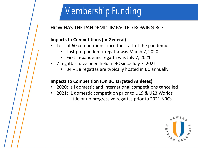## Membership Funding

### HOW HAS THE PANDEMIC IMPACTED ROWING BC?

#### **Impacts to Competitions (In General)**

- Loss of 60 competitions since the start of the pandemic
	- Last pre-pandemic regatta was March 7, 2020
	- First in-pandemic regatta was July 7, 2021
- 7 regattas have been held in BC since July 7, 2021
	- 34 38 regattas are typically hosted in BC annually

#### **Impacts to Competition (On BC Targeted Athletes)**

- 2020: all domestic and international competitions cancelled
- 2021: 1 domestic competition prior to U19 & U23 Worlds little or no progressive regattas prior to 2021 NRCs

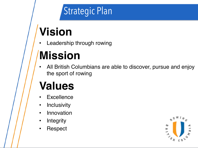## Strategic Plan

# **Vision**

Leadership through rowing

# **Mission**

• All British Columbians are able to discover, pursue and enjoy the sport of rowing

## **Values**

- **Excellence**
- Inclusivity
- Innovation
- Integrity
- Respect